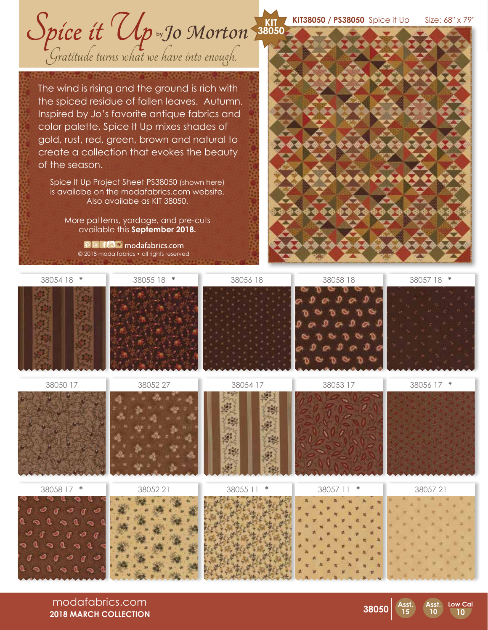**KIT38050 / PS38050** Spice it Up Size: 68″ x 79″ **KIT**

Spice it Up by Jo Morton 38050

The wind is rising and the ground is rich with the spiced residue of fallen leaves. Autumn. Inspired by Jo's favorite antique fabrics and color palette, Spice It Up mixes shades of gold, rust, red, green, brown and natural to create a collection that evokes the beauty of the season.

Spice It Up Project Sheet PS38050 (shown here) is availabe on the modafabrics.com website. Also availabe as KIT 38050.

More patterns, yardage, and pre-cuts available this **September 2018.**

**DEFEC** modafabrics.com © 2018 moda fabrics • all rights reserved



| 38054 18 *                                                                                                                                                                                 | 38055 18 * | 38056 18                             | 38058 18           | 38057 18 * |
|--------------------------------------------------------------------------------------------------------------------------------------------------------------------------------------------|------------|--------------------------------------|--------------------|------------|
| 38050 17                                                                                                                                                                                   | 38052 27   | 38054 17<br>127<br>踢<br>邂<br>瑶<br>冷原 | 38053 17           | 38056 17 * |
| 38058 17 *<br>0000<br>$\overline{\phantom{a}}$<br>O<br>Q<br>a<br>$\infty$<br>$\sim$<br>ಿ<br>0000<br>$\sigma$<br>ాం<br>ಿ<br>అ<br>◉<br>a.<br>$\alpha$<br>$D$ $\sigma$ $D$ $\sigma$<br>C<br>ക | 3805221    | 38055 11<br>∗                        | 38057 11<br>$\ast$ | 3805721    |

modafabrics.com **2018 MARCH COLLECTION**



**Asst. 10**

**Low Cal 10**